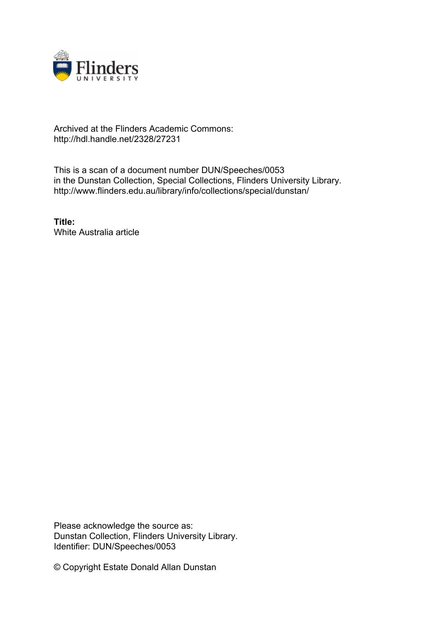

## Archived at the Flinders Academic Commons: http://hdl.handle.net/2328/27231

This is a scan of a document number DUN/Speeches/0053 in the Dunstan Collection, Special Collections, Flinders University Library. http://www.flinders.edu.au/library/info/collections/special/dunstan/

**Title:** White Australia article

Please acknowledge the source as: Dunstan Collection, Flinders University Library. Identifier: DUN/Speeches/0053

© Copyright Estate Donald Allan Dunstan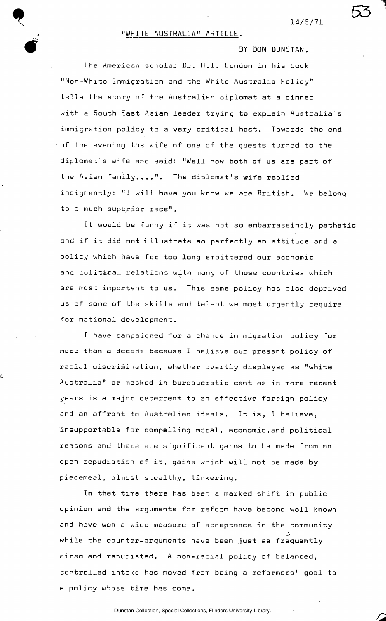## **14/5/7 1**

BY DON DUN5TAN.

**5 3**

**1** 

£

## "WHITE AUSTRALIA" ARTICLE.

The American scholar Dr. H.I. London in his book "Non-White Immigration and the White Australia Policy" tells the story of the Australian diplomat at a dinner with a South East Asian leader trying to explain Australia's immigration policy to a very critical host. Towards the end of the evening the wife of one of the guests turned to the diplomat's wife and said: "Well now both of us are part of the Asian family....". The diplomat's wife replied indignantly: "I will have you know we are British. We belong to a much superior race".

It would be funny if it was not so embarrassingly pathetic and if it did not illustrate so perfectly an attitude and a policy which have for too long embittered our economic and political relations with many of those countries which are most important to us. This same policy has also deprived us of some of the skills and talent we most urgently require for national development..

I have campaigned for a change in migration policy for mare than a decade because I believe our present policy of racial discrimination, whether overtly displayed as "white Australia" or masked in bureaucratic cant as in more recent years is a major deterrent to an effective foreign policy and an affront to Australian ideals. It is, I believe, insupportable for compelling moral, economic,and political reasons and there are significant gains to be made from an open repudiation of it, gains which will not be made by piecemeal, almost stealthy, tinkering.

In that time there has been a marked shift in public opinion and the arguments for reform have become well known and have won a wide measure of acceptance in the community while the counter-arguments have been just as frequently aired and repudiated. A non-racial policy of balanced, a policy whose time has come.

Dunstan Collection, Special Collections, Flinders University Library.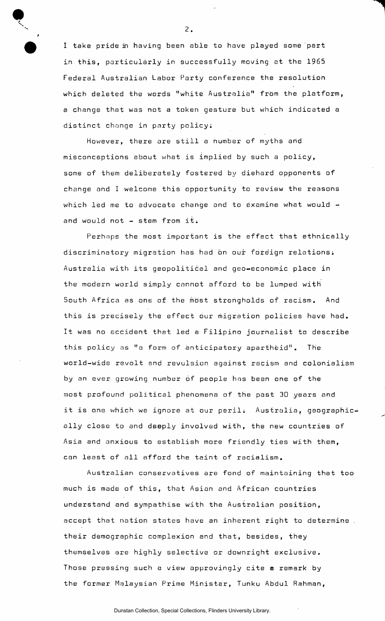I take pride in having been able to have played some part in this, particularly in successfully moving at the 1965 Federal Australian Labor Party conference the resolution which deleted the words "white Australia" from the platform, a change that was not a token gesture but which indicated a distinct change in party policy;

However, there are still a number of myths and misconceptions about what is implied by such a policy, some of them deliberately fostered by diehard opponents of change and I welcome this opportunity to review the reasons which led me to advocate change and to examine what would  $$ and would not  $-$  stem from it.

Perhaps the most important is the effect that ethnically discriminatory migration has had on our foreign relations; Australia with its geopolitical and geo-economic place in the modern world simply cannot afford to be lumped with South Africa as one of the most strongholds of racism. And this is precisely the effect our migration policies have had. It was no accident that led a Filipino journalist to describe this policy as "a form of anticipatory apartheid". The world-wide revolt and revulsion against racism and colonialism by an ever growing number of people has been one of the most profound political phenomena of the past 30 years and it is one which we ignore at our peril. Australia, geographically close to and deeply involved with, the new countries of Asia and anxious to establish more friendly ties with them, can least of all afford the taint of racialism.

Australian conservatives are fond of maintaining that too much is made of this, that Asian and African countries understand and sympathise with the Australian position, accept that nation states have an inherent right to determine . their demographic complexion and that, besides, they themselves are highly selective or downright exclusive. Those pressing such a view approvingly cite **a** remark by the former Malaysian Prime Minister, Tunku Abdul Rahman,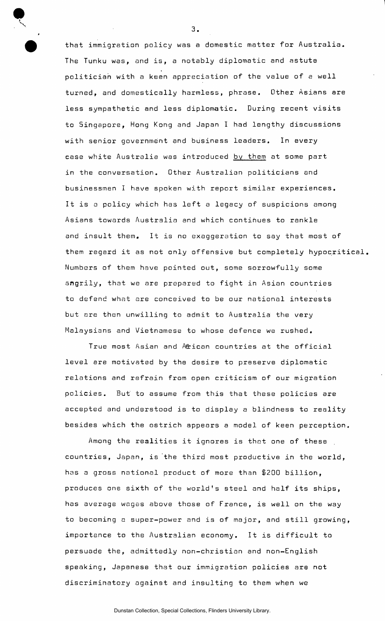that immigration policy was a domestic matter for Australia. The Tunku was, and is, a notably diplomatic and astute politician with a keen appreciation of the value of a well turned, and domestically harmless, phrase. Other Asians are less sympathetic and less diplomatic. During recent visits to Singapore, Hong Kong and Japan I had lengthy discussions with senior government and business leaders. In every case white Australia was introduced by them at some part in the conversation. Other Australian politicians and businessmen I have spoken with report similar experiences. It is a policy which has left a legacy of suspicions among Asians towards Australia and which continues to rankle and insult them. It is no exaggeration to say that most of them regard it as not only offensive but completely hypocritical. Numbers of them have pointed out, some sorrowfully some angrily, that we are prepared to fight in Asian countries to defend what are conceived to be our national interests but are then unwilling to admit to Australia the very Malaysians and Vietnamese to whose defence we rushed.

True most Asian and African countries at the official level are motivated by the desire to preserve diplomatic relations and refrain from open criticism of our migration policies. But to assume from this that these policies are accepted and understood is to display a blindness to reality besides which the ostrich appears a model of keen perception.

Among the realities it ignores is that one of these countries, Japan, is the third most productive in the world, has a gross national product of more than \$200 billion, produces one sixth of the world's steel and half its ships, has average wages above those of France, is well on the way to becoming a super-power and is of major, and still growing, importance to the Australian economy. It is difficult to persuade the, admittedly non-christian and non-English speaking, Japanese that our immigration policies are not discriminatory against and insulting to them when we

З.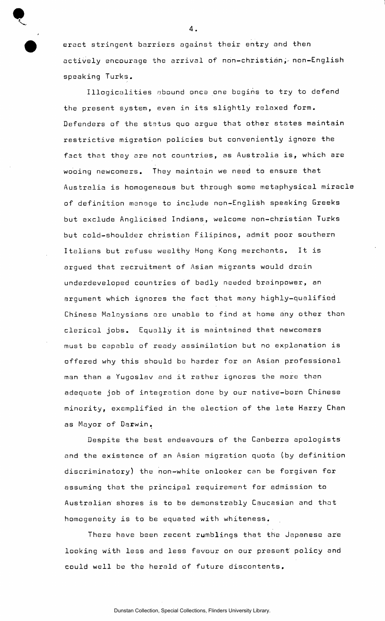erect stringent barriers against their entry and then actively encourage the arrival of non-christian, non-English speaking Turks.

**4.** 

Illogicalities abound once one begins to try to defend the present system, even in its slightly relaxed form. Defenders of the status quo argue that other states maintain restrictive migration policies but conveniently ignore the fact that they are not countries, as Australia is, which are wooing newcomers. They maintain we need to ensure that Australia is homogeneous but through some metaphysical miracle of definition manage to include non-English speaking Greeks but exclude Anglicised Indians, welcome non-christian Turks but cold-shoulder christian Filipinos, admit poor southern Italians but refuse wealthy Hong Kong merchants. It is argued that recruitment of Asian migrants would drain underdeveloped countries of badly needed brainpower, an argument which ignores the fact that many highly-qualified Chinese Malaysians are unable to find at home any other than clerical jobs. Equally it is maintained that newcomers must be capable of ready assimilation but no explanation is offered why this should be harder for an Asian professional man than a Yugoslav and it rather ignores the more than adequate job of integration done by our native-born Chinese minority, exemplified in the election of the late Harry Chan as Mayor of Darwin.

Despite the best endeavours of the Canberra apologists and the existence of an Asian migration quota (by definition discriminatory) the non-white onlooker can be forgiven for assuming that the principal requirement for admission to Australian shores is to be demonstrably Caucasian and that homogeneity is to be equated with whiteness.

There have been recent rumblings that the Japanese are looking with less and less favour on our present policy and could well be the herald of future discontents.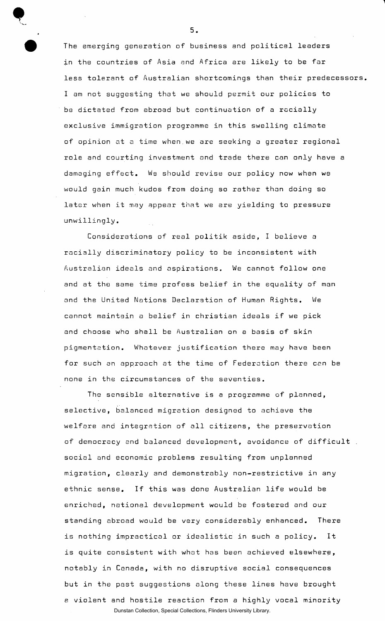The emerging generation of business and political leaders in the countries of Asia and Africa are likely to be far less tolerant of Australian shortcomings than their predecessors. I am not suggesting that we should permit our policies to be dictated from abroad but continuation of a racially exclusive immigration programme in this swelling climate of opinion at a time when.we are seeking a greater regional role and courting investment and trade there can only have a damaging effect. We should revise our policy now when we would gain much kudos from doing so rather than doing so later when it may appear that we are yielding to pressure unwillingly.

Considerations of real politik aside, I believe a racially discriminatory policy to be inconsistent with Australian ideals and aspirations. We cannot follow one and at the same time profess belief in the equality of man and the United Nations Declaration of Human Rights. We cannot maintain a belief in christian ideals if we pick and choose who shall be Australian on a basis of skin pigmentation. Whatever justification there may have been for such an approach at the time of Federation there can be none in the circumstances of the seventies.

The sensible alternative is a programme of planned, selective, balanced migration designed to achieve the welfare and integration of all citizens, the preservation of democracy and balanced development, avoidance of difficult . social and economic problems resulting from unplanned migration, clearly and demonstrably non-restrictive in any ethnic sense. If this was done Australian life would be enriched, national development would be fostered and our standing abroad would be very considerably enhanced. There is nothing impractical or idealistic in such a policy. It is quite consistent with what has been achieved elsewhere, notably in Canada, with no disruptive social consequences but in the past suggestions along these lines have brought a violent and hostile reaction from a highly vocal minority Dunstan Collection, Special Collections, Flinders University Library.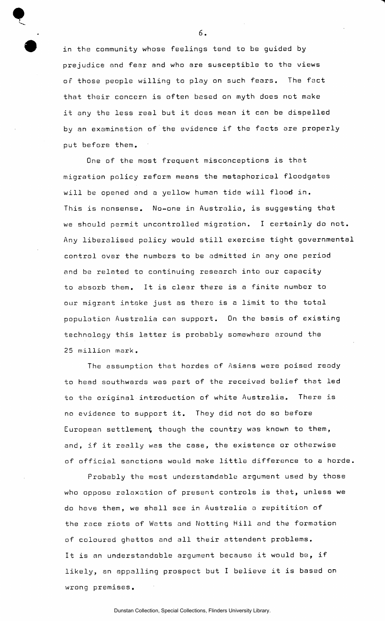in the community whose feelings tend to be guided by prejudice and fear and who are susceptible to the views of those people willing to play on such fears. The fact that their concern is often based on myth does not make it any the less real but it does mean it can be dispelled by an examination of the evidence if the facts are properly put before them.

One of the most frequent misconceptions is that migration policy reform means the metaphorical floodgates will be opened and a yellow human tide will flood in. This is nonsense. No-one in Australia, is suggesting that we should permit uncontrolled migration. I certainly do not. Any liberalised policy would still exercise tight governmental control over the numbers to be admitted in any one period and be related to continuing research into our capacity to absorb them. It is clear there is a finite number to our migrant intake just as there is a limit to the total population Australia can support. On the basis of existing technology this latter is probably somewhere around the 25 million mark.

The assumption that hordes of Asians were poised ready to head southwards was part of the received belief that led to the original introduction of white Australia. There is no evidence to support it. They did not do so before European settlement though the country was known to them, and, if it really was the case, the existence or otherwise of official sanctions would make little difference to a horde.

Probably the most understandable argument used by those who oppose relaxation of present controls is that, unless we do have them, we shall see in Australia a repitition of the race riots of Watts and Notting Hill and the formation of coloured ghettos and all their attendent problems. It is an understandable argument because it would be, if likely, an appalling prospect but I believe it is based on wrong premises.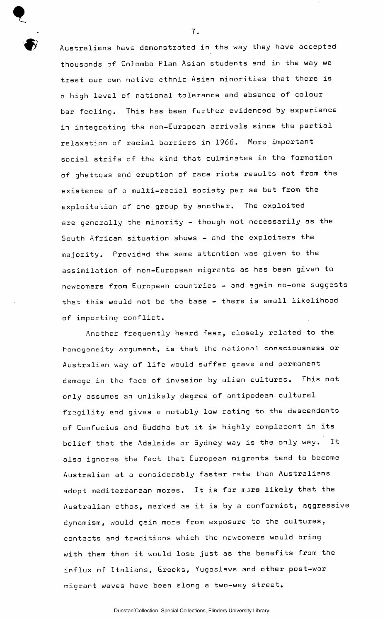Australians have demonstrated in the way they have accepted thousands of Colombo Plan Asian students and in the way we treat our own native ethnic Asian minorities that there is a high level of national tolerance and absence of colour bar feeling. This has been further evidenced by experience in integrating the non-European arrivals since the partial relaxation of racial barriers in 1966. More important social strife of the kind that culminates in the formation of ghettoes and eruption of race riots results not from the existence of a multi-racial society per se but from the exploitation of one group by another. The exploited are generally the minority - though not necessarily as the South African situation shows - and the exploiters the majority. Provided the same attention was given to the assimilation of non-European migrants as has been given to newcomers from European countries - and again no-one suggests that this would not be the base - there is small likelihood of importing conflict.

Another frequently heard fear, closely related to the homogeneity argument, is that the national consciousness or Australian way of life would suffer grave and permanent damage in the face of invasion by alien cultures. This not only assumes an unlikely degree of antipodean cultural fragility and gives a notably low rating to the descendants of Confucius and Buddha but it is highly complacent in its belief that the Adelaide or Sydney way is the only way. It also ignores the fact that European migrants tend to become Australian at a considerably faster rate than Australians adopt mediterranean mores. It is far more likely that the Australian ethos, marked as it is by a conformist, aggressive dynamism, would gain more from exposure to the cultures, contacts and traditions which the newcomers would bring with them than it would lose just as the benefits from the influx of Italians, Greeks, Yugoslavs and other post-war migrant waves have been along a two-way street.

Dunstan Collection, Special Collections, Flinders University Library.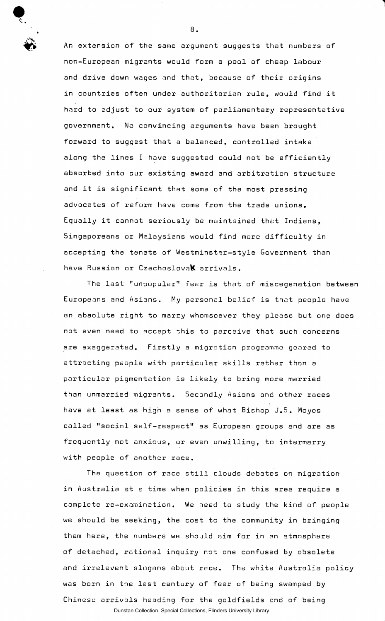An extension of the same argument suggests that numbers of non-European migrants would form a pool of cheap labour and drive down wages and that, because of their origins in countries often under authoritarian rule, would find it hard to adjust to our system of parliamentary representative government. No convincing arguments have been brought forward to suggest that a balanced, controlled intake along the lines I have suggested could not be efficiently absorbed into our existing award and arbitration structure and it is significant that some of the most pressing advocates of reform have come from the trade unions. Equally it cannot seriously be maintained that Indians, Singaporeans or Malaysians would find more difficulty in accepting the tenets of Westminster-style Government than have Russian or Czechoslova**k** arrivals.

The last "unpopular" fear is that of miscegenation between Europeans and Asians. My personal belief is that people have an absolute right to marry whomsoever they please but one does not even need to accept this to perceive that such concerns are exaggerated. Firstly a migration programme geared to attracting people with particular skills rather than a particular pigmentation is likely to bring more married than unmarried migrants. Secondly Asians and other races have at least as high a sense of what Bishop J.S. Moyes called "social self-respect" as European groups and are as frequently not anxious, or even unwilling, to intermarry with people of another race.

The question of race still clouds debates on migration in Australia at a time when policies in this area require a complete re-examination. We need to study the kind of people we should be seeking, the cost to the community in bringing them here, the numbers we should aim for in an atmosphere of detached, rational inquiry not one confused by obsolete and irrelevent slogans about race. The white Australia policy was born in the last century of fear of being swamped by Chinese arrivals heading for the goldfields and of being Dunstan Collection, Special Collections, Flinders University Library.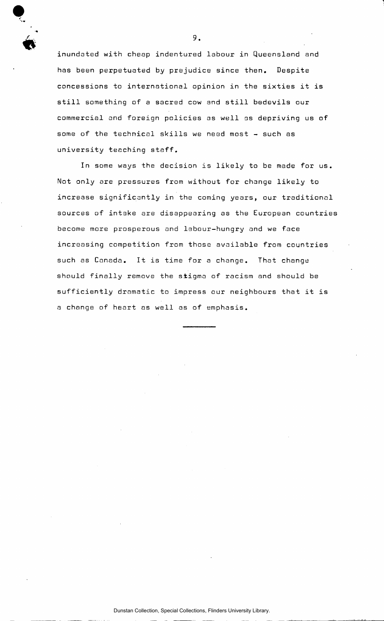inundated with cheap indentured labour in Queensland and has been perpetuated by prejudice since then. Despite concessions to international opinion in the sixties it is still something of a sacred cow and still bedevils our commercial and foreign policies as well as depriving us of some of the technical skills we need most - such as university teaching staff.

In some ways the decision is likely to be made for us. Not only are pressures from without for change likely to increase significantly in the coming years, our traditional sources of intake are disappearing as the European countries become more prosperous and labour-hungry and we face increasing competition from those available from countries such as Canada. It is time for a change. That change should finally remove the stigma of racism and should be sufficiently dramatic to impress our neighbours that it is a change of heart as well as of emphasis.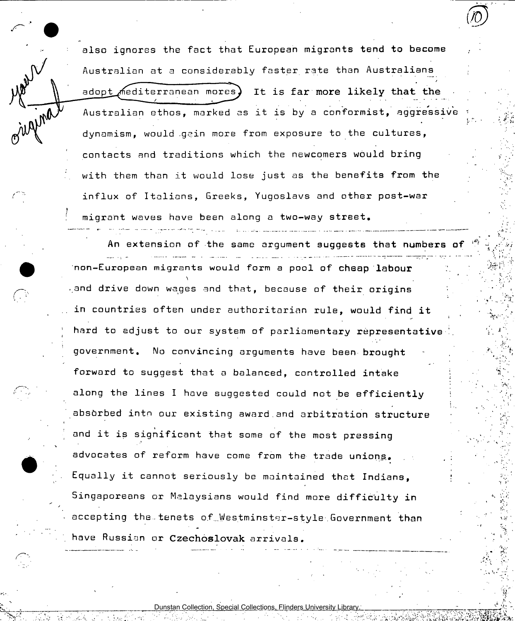also ignores the fact that European migrants tend to become Australian at a considerably faster rate than Australians adopt mediterranean mores) It is far more likely that the Australian ethos, marked as it is by a conformist, aggressive dynamism, would gain more from exposure to the cultures, contacts and traditions which the newcomers would bring with them than it would lose just as the benefits from the influx of Italians, Greeks, Yugoslavs and other post-war migrant waves have been along a two-way street.

المناورين الإيامة والمعامد متعشهما المالكما للدانة

An extension of the same argument suggests that numbers **of College** non-European migrants would form a pool of **cheap labour**  and drive down wages and that, because of their origins in countries often under authoritarian rule, would find it hard to adjust to our system of parliamentary representative government. No convincing arguments have been brought forward to suggest that a balanced, controlled intake along the lines I have suggested could not be efficiently absbrbed into our existing award.and arbitration structure and it is significant that some of the most pressing advocates of reform have come from the trade unions. Equally it cannot seriously be maintained that Indians, Singaporeans or Malaysians would find more difficulty in accepting the tenets of Westminster-style Government than have Russian or Czechoslovak arrivals.

Dunstan Collection, Special Collections, Flinders University Librar